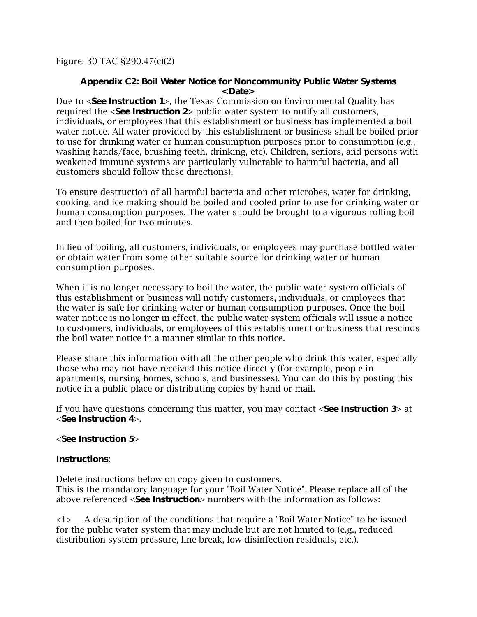Figure: 30 TAC §290.47(c)(2)

## **Appendix C2: Boil Water Notice for Noncommunity Public Water Systems <Date>**

Due to <**See Instruction 1**>, the Texas Commission on Environmental Quality has required the <**See Instruction 2**> public water system to notify all customers, individuals, or employees that this establishment or business has implemented a boil water notice. All water provided by this establishment or business shall be boiled prior to use for drinking water or human consumption purposes prior to consumption (e.g., washing hands/face, brushing teeth, drinking, etc). Children, seniors, and persons with weakened immune systems are particularly vulnerable to harmful bacteria, and all customers should follow these directions).

To ensure destruction of all harmful bacteria and other microbes, water for drinking, cooking, and ice making should be boiled and cooled prior to use for drinking water or human consumption purposes. The water should be brought to a vigorous rolling boil and then boiled for two minutes.

In lieu of boiling, all customers, individuals, or employees may purchase bottled water or obtain water from some other suitable source for drinking water or human consumption purposes.

When it is no longer necessary to boil the water, the public water system officials of this establishment or business will notify customers, individuals, or employees that the water is safe for drinking water or human consumption purposes. Once the boil water notice is no longer in effect, the public water system officials will issue a notice to customers, individuals, or employees of this establishment or business that rescinds the boil water notice in a manner similar to this notice.

Please share this information with all the other people who drink this water, especially those who may not have received this notice directly (for example, people in apartments, nursing homes, schools, and businesses). You can do this by posting this notice in a public place or distributing copies by hand or mail.

If you have questions concerning this matter, you may contact <**See Instruction 3**> at <**See Instruction 4**>.

## <**See Instruction 5**>

## **Instructions**:

Delete instructions below on copy given to customers. This is the mandatory language for your "Boil Water Notice". Please replace all of the above referenced <**See Instruction**> numbers with the information as follows:

<1> A description of the conditions that require a "Boil Water Notice" to be issued for the public water system that may include but are not limited to (e.g., reduced distribution system pressure, line break, low disinfection residuals, etc.).